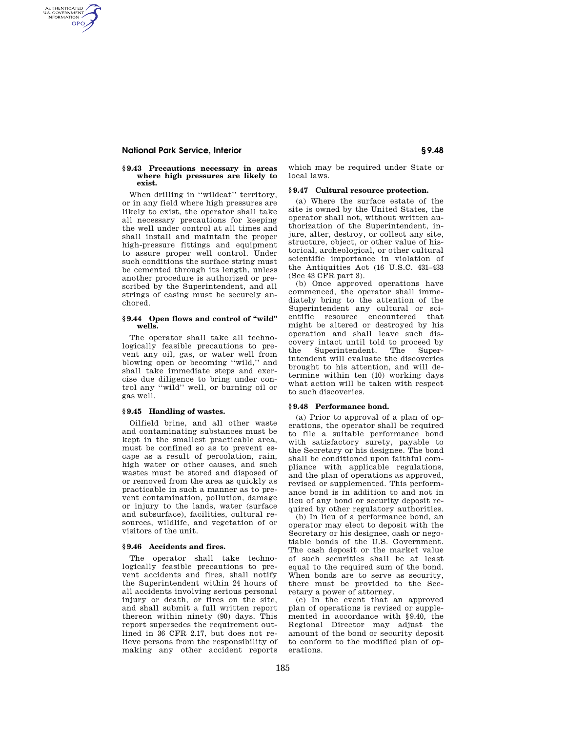# **National Park Service, Interior § 9.48**

AUTHENTICATED<br>U.S. GOVERNMENT<br>INFORMATION **GPO** 

#### **§ 9.43 Precautions necessary in areas where high pressures are likely to exist.**

When drilling in ''wildcat'' territory, or in any field where high pressures are likely to exist, the operator shall take all necessary precautions for keeping the well under control at all times and shall install and maintain the proper high-pressure fittings and equipment to assure proper well control. Under such conditions the surface string must be cemented through its length, unless another procedure is authorized or prescribed by the Superintendent, and all strings of casing must be securely anchored.

## **§ 9.44 Open flows and control of ''wild'' wells.**

The operator shall take all technologically feasible precautions to prevent any oil, gas, or water well from blowing open or becoming ''wild,'' and shall take immediate steps and exercise due diligence to bring under control any ''wild'' well, or burning oil or gas well.

## **§ 9.45 Handling of wastes.**

Oilfield brine, and all other waste and contaminating substances must be kept in the smallest practicable area, must be confined so as to prevent escape as a result of percolation, rain, high water or other causes, and such wastes must be stored and disposed of or removed from the area as quickly as practicable in such a manner as to prevent contamination, pollution, damage or injury to the lands, water (surface and subsurface), facilities, cultural resources, wildlife, and vegetation of or visitors of the unit.

### **§ 9.46 Accidents and fires.**

The operator shall take technologically feasible precautions to prevent accidents and fires, shall notify the Superintendent within 24 hours of all accidents involving serious personal injury or death, or fires on the site, and shall submit a full written report thereon within ninety (90) days. This report supersedes the requirement outlined in 36 CFR 2.17, but does not relieve persons from the responsibility of making any other accident reports

which may be required under State or local laws.

#### **§ 9.47 Cultural resource protection.**

(a) Where the surface estate of the site is owned by the United States, the operator shall not, without written authorization of the Superintendent, injure, alter, destroy, or collect any site, structure, object, or other value of historical, archeological, or other cultural scientific importance in violation of the Antiquities Act (16 U.S.C. 431–433 (See 43 CFR part 3).

(b) Once approved operations have commenced, the operator shall immediately bring to the attention of the Superintendent any cultural or scientific resource encountered that might be altered or destroyed by his operation and shall leave such discovery intact until told to proceed by the Superintendent. The Superintendent will evaluate the discoveries brought to his attention, and will determine within ten (10) working days what action will be taken with respect to such discoveries.

### **§ 9.48 Performance bond.**

(a) Prior to approval of a plan of operations, the operator shall be required to file a suitable performance bond with satisfactory surety, payable to the Secretary or his designee. The bond shall be conditioned upon faithful compliance with applicable regulations, and the plan of operations as approved, revised or supplemented. This performance bond is in addition to and not in lieu of any bond or security deposit required by other regulatory authorities.

(b) In lieu of a performance bond, an operator may elect to deposit with the Secretary or his designee, cash or negotiable bonds of the U.S. Government. The cash deposit or the market value of such securities shall be at least equal to the required sum of the bond. When bonds are to serve as security, there must be provided to the Secretary a power of attorney.

(c) In the event that an approved plan of operations is revised or supplemented in accordance with §9.40, the Regional Director may adjust the amount of the bond or security deposit to conform to the modified plan of operations.